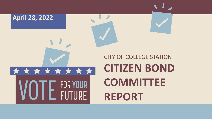# **April 28, 2022**\* \* \* \* \* \* \* \* \* FOR YOUR **ELITIIRE**

## CITY OF COLLEGE STATION **CITIZEN BOND COMMITTEE REPORT**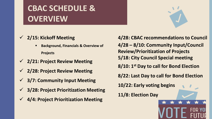### **CBAC SCHEDULE & OVERVIEW**

#### **2/15: Kickoff Meeting**

- **Background, Financials & Overview of Projects**
- **2/21: Project Review Meeting**
- **2/28: Project Review Meeting**
- **3/7: Community Input Meeting**
- **3/28: Project Prioritization Meeting**
- **4/4: Project Prioritization Meeting**

**4/28: CBAC recommendations to Council 4/28 – 8/10: Community Input/Council Review/Prioritization of Projects 5/18: City Council Special meeting 8/10: 1st Day to call for Bond Election 8/22: Last Day to call for Bond Election 10/22: Early voting begins 11/8: Election Day**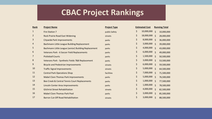#### **CBAC Project Rankings**

| Rank           | <b>Project Name</b>                                  | <b>Project Type</b> | <b>Estimated Cost</b> |                    | <b>Running Total</b> |  |
|----------------|------------------------------------------------------|---------------------|-----------------------|--------------------|----------------------|--|
| $\mathbf{1}$   | <b>Fire Station 7</b>                                | public Safety       | \$<br>10,000,000      | $\mathsf{\hat{S}}$ | 10,000,000           |  |
| $\overline{2}$ | <b>Rock Prairie Road East Widening</b>               | streets             | \$<br>18,000,000 \$   |                    | 28,000,000           |  |
| 3              | <b>Citywide Park Improvements</b>                    | parks               | \$<br>8,000,000 \$    |                    | 36,000,000           |  |
| 4              | Bachmann Little League Building Replacement          | parks               | \$<br>3,000,000       | $\zeta$            | 39,000,000           |  |
| 5              | Bachmann Little League (senior) Building Replacement | parks               | \$<br>4,000,000       | $\zeta$            | 43,000,000           |  |
| 6              | Veterans Park - 6 Soccer Field Replacements          | parks               | \$<br>6,000,000       | $\zeta$            | 49,000,000           |  |
| 7              | <b>Pickleball Courts</b>                             | parks               | \$<br>1,500,000 \$    |                    | 50,500,000           |  |
| 8              | Veterans Park - Synthetic Fields 7&8 Replacement     | parks               | \$<br>3,000,000       | $\mathsf{S}$       | 53,500,000           |  |
| 9              | <b>Bicycle and Pedestrian Improvements</b>           | streets             | \$<br>6,000,000       | $\mathsf{\dot{S}}$ | 59,500,000           |  |
| 10             | <b>Traffic Signal Improvements</b>                   | streets             | \$<br>5,000,000       | $\mathsf{S}$       | 64,500,000           |  |
| 11             | <b>Central Park Operations Shop</b>                  | facilities          | \$<br>7,000,000 \$    |                    | 71,500,000           |  |
| 12             | <b>Mabel Clare Thomas Park Improvements</b>          | parks               | \$<br>5,000,000 \$    |                    | 76,500,000           |  |
| 13             | Bee Creek & Central Tennis Court Replacements        | parks               | \$<br>1,000,000       | $\zeta$            | 77,500,000           |  |
| 14             | Lincoln Center Area Improvements                     | parks               | \$<br>1,000,000       | $\mathsf{\dot{S}}$ | 78,500,000           |  |
| 15             | <b>Gilchrist Street Rehabilitation</b>               | streets             | \$<br>4,000,000       | $\mathsf{S}$       | 82,500,000           |  |
| 16             | <b>Mabel Clare Thomas Park Pool</b>                  | parks               | \$<br>3,000,000       | -Ś                 | 85,500,000           |  |
| 17             | <b>Barron Cut-Off Road Rehabilitation</b>            | streets             | \$<br>3,000,000       | Ś.                 | 88,500,000           |  |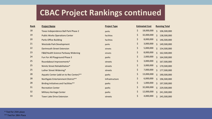#### **CBAC Project Rankings continued**

| Rank | <b>Project Name</b>                     | <b>Project Type</b> | <b>Estimated Cost</b> |            | <b>Running Total</b> |             |
|------|-----------------------------------------|---------------------|-----------------------|------------|----------------------|-------------|
| 18   | Texas Independence Ball Park Phase 2    | parks               | \$                    | 18,000,000 | \$                   | 106,500,000 |
| 19   | <b>Public Works Operations Center</b>   | facilities          | \$                    | 32,000,000 | \$                   | 138,500,000 |
| 20   | <b>Parks Office Building</b>            | facilities          | \$                    | 8,000,000  | \$                   | 146,500,000 |
| 21   | <b>Westside Park Development</b>        | parks               | \$                    | 3,000,000  | \$                   | 149,500,000 |
| 22   | <b>Dartmouth Street Extension</b>       | streets             | \$                    | 5,000,000  | \$                   | 154,500,000 |
| 23   | F&B/Health Science Parkway Widening     | streets             | \$                    | 8,000,000  | \$                   | 162,500,000 |
| 24   | Fun For All Playground Phase 3          | parks               | \$                    | 2,000,000  | \$                   | 164,500,000 |
| 25   | Roundabout Improvements*                | streets             | \$                    | 3,000,000  | \$                   | 167,500,000 |
| 25   | Nimitz Street Rehabilitation*           | streets             | \$                    | 3,000,000  | \$                   | 170,500,000 |
| 25   | Luther Street Widening*                 | streets             | \$                    | 7,000,000  | Ś.                   | 177,500,000 |
| 28   | Aquatic Center (add on to Rec Center)** | parks               | \$                    | 13,000,000 | \$                   | 190,500,000 |
| 28   | Northgate Entertainment District**      | Infrastructure      | \$                    | 6,000,000  | Ś.                   | 196,500,000 |
| 28   | Birding Initiatives and Facilities**    | parks               | \$                    | 1,000,000  | \$                   | 197,500,000 |
| 31   | <b>Recreation Center</b>                | parks               | \$                    | 32,000,000 | \$                   | 229,500,000 |
| 32   | <b>Military Heritage Center</b>         | parks               | \$                    | 12,000,000 | \$                   | 241,500,000 |
| 33   | <b>Town Lake Drive Extension</b>        | streets             | \$                    | 4,000,000  | \$                   | 245,500,000 |

\* Tied for 25th place \*\* Tied for 28th Place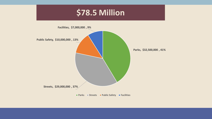#### **\$78.5 Million**

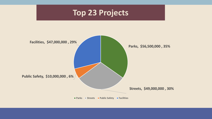#### **Top 23 Projects**



**Parks Streets Public Safety Facilities**